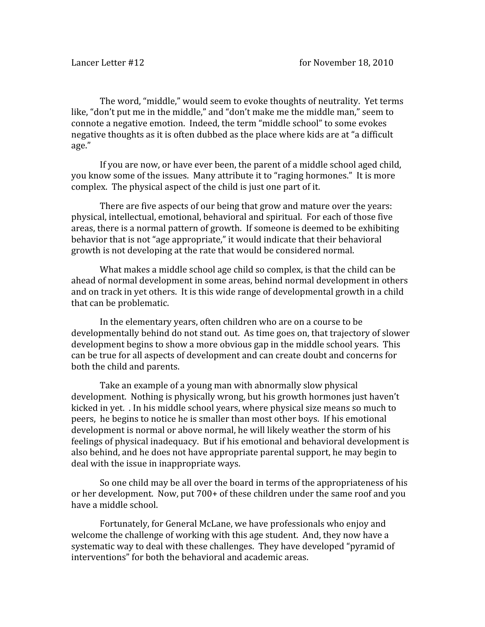The word, "middle," would seem to evoke thoughts of neutrality. Yet terms like, "don't put me in the middle," and "don't make me the middle man," seem to connote a negative emotion. Indeed, the term "middle school" to some evokes negative thoughts as it is often dubbed as the place where kids are at "a difficult age."

If you are now, or have ever been, the parent of a middle school aged child, you know some of the issues. Many attribute it to "raging hormones." It is more complex. The physical aspect of the child is just one part of it.

There are five aspects of our being that grow and mature over the years: physical, intellectual, emotional, behavioral and spiritual. For each of those five areas, there is a normal pattern of growth. If someone is deemed to be exhibiting behavior that is not "age appropriate," it would indicate that their behavioral growth is not developing at the rate that would be considered normal.

What makes a middle school age child so complex, is that the child can be ahead of normal development in some areas, behind normal development in others and on track in yet others. It is this wide range of developmental growth in a child that can be problematic.

In the elementary years, often children who are on a course to be developmentally behind do not stand out. As time goes on, that trajectory of slower development begins to show a more obvious gap in the middle school years. This can be true for all aspects of development and can create doubt and concerns for both the child and parents.

Take an example of a young man with abnormally slow physical development. Nothing is physically wrong, but his growth hormones just haven't kicked in yet. . In his middle school years, where physical size means so much to peers, he begins to notice he is smaller than most other boys. If his emotional development is normal or above normal, he will likely weather the storm of his feelings of physical inadequacy. But if his emotional and behavioral development is also behind, and he does not have appropriate parental support, he may begin to deal with the issue in inappropriate ways.

So one child may be all over the board in terms of the appropriateness of his or her development. Now, put 700+ of these children under the same roof and you have a middle school.

Fortunately, for General McLane, we have professionals who enjoy and welcome the challenge of working with this age student. And, they now have a systematic way to deal with these challenges. They have developed "pyramid of interventions" for both the behavioral and academic areas.